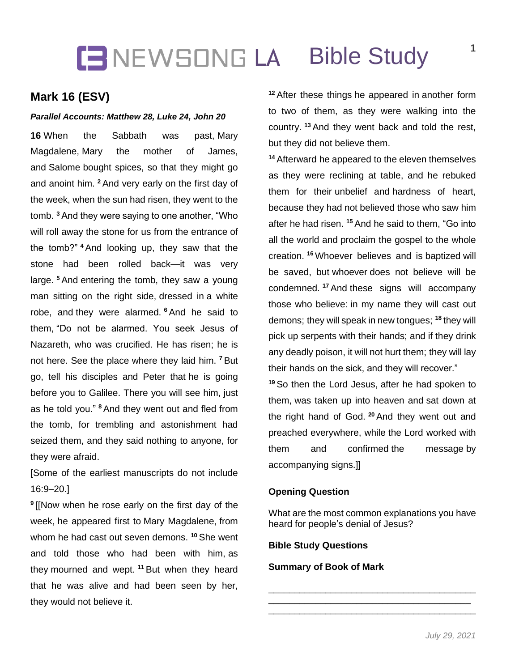# **IBNEWSONG LA Bible Study**

## **Mark 16 (ESV)**

#### *Parallel Accounts: Matthew 28, Luke 24, John 20*

**16** When the Sabbath was past, Mary Magdalene, Mary the mother of James, and Salome bought spices, so that they might go and anoint him. **<sup>2</sup>** And very early on the first day of the week, when the sun had risen, they went to the tomb. **<sup>3</sup>** And they were saying to one another, "Who will roll away the stone for us from the entrance of the tomb?" **<sup>4</sup>** And looking up, they saw that the stone had been rolled back—it was very large. **<sup>5</sup>** And entering the tomb, they saw a young man sitting on the right side, dressed in a white robe, and they were alarmed. **<sup>6</sup>** And he said to them, "Do not be alarmed. You seek Jesus of Nazareth, who was crucified. He has risen; he is not here. See the place where they laid him. **<sup>7</sup>** But go, tell his disciples and Peter that he is going before you to Galilee. There you will see him, just as he told you." **<sup>8</sup>** And they went out and fled from the tomb, for trembling and astonishment had seized them, and they said nothing to anyone, for they were afraid.

[Some of the earliest manuscripts do not include 16:9–20.]

**9** [[Now when he rose early on the first day of the week, he appeared first to Mary Magdalene, from whom he had cast out seven demons. **<sup>10</sup>** She went and told those who had been with him, as they mourned and wept. **<sup>11</sup>** But when they heard that he was alive and had been seen by her, they would not believe it.

**<sup>12</sup>** After these things he appeared in another form to two of them, as they were walking into the country. **<sup>13</sup>** And they went back and told the rest, but they did not believe them.

**<sup>14</sup>** Afterward he appeared to the eleven themselves as they were reclining at table, and he rebuked them for their unbelief and hardness of heart, because they had not believed those who saw him after he had risen. **<sup>15</sup>** And he said to them, "Go into all the world and proclaim the gospel to the whole creation. **<sup>16</sup>** Whoever believes and is baptized will be saved, but whoever does not believe will be condemned. **<sup>17</sup>** And these signs will accompany those who believe: in my name they will cast out demons; they will speak in new tongues; **<sup>18</sup>** they will pick up serpents with their hands; and if they drink any deadly poison, it will not hurt them; they will lay their hands on the sick, and they will recover."

**<sup>19</sup>** So then the Lord Jesus, after he had spoken to them, was taken up into heaven and sat down at the right hand of God. **<sup>20</sup>** And they went out and preached everywhere, while the Lord worked with them and confirmed the message by accompanying signs.]]

### **Opening Question**

What are the most common explanations you have heard for people's denial of Jesus?

\_\_\_\_\_\_\_\_\_\_\_\_\_\_\_\_\_\_\_\_\_\_\_\_\_\_\_\_\_\_\_\_\_\_\_\_\_\_\_\_ \_\_\_\_\_\_\_\_\_\_\_\_\_\_\_\_\_\_\_\_\_\_\_\_\_\_\_\_\_\_\_\_\_\_\_\_\_\_\_ \_\_\_\_\_\_\_\_\_\_\_\_\_\_\_\_\_\_\_\_\_\_\_\_\_\_\_\_\_\_\_\_\_\_\_\_\_\_\_\_

### **Bible Study Questions**

#### **Summary of Book of Mark**

1